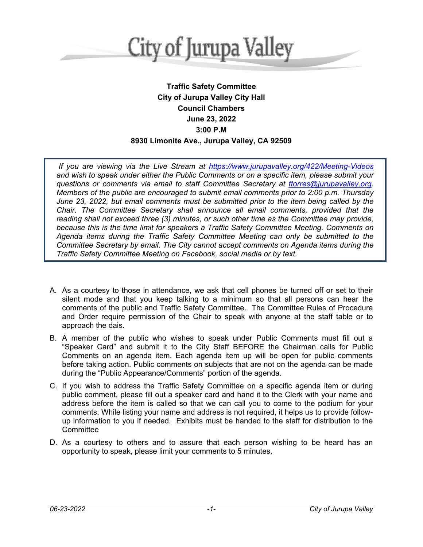

# **Traffic Safety Committee City of Jurupa Valley City Hall Council Chambers June 23, 2022 3:00 P.M 8930 Limonite Ave., Jurupa Valley, CA 92509**

*If you are viewing via the Live Stream at [https://www.jurupavalley.org/422/Meeting-Videos](https://ww.jurupavalley.org/422/Meeting-Videos) and wish to speak under either the Public Comments or on a specific item, please submit your questions or comments via email to staff Committee Secretary at [ttorres@jurupavalley.org.](mailto:ttorres@jurupavalley.org) Members of the public are encouraged to submit email comments prior to 2:00 p.m. Thursday June 23, 2022, but email comments must be submitted prior to the item being called by the Chair. The Committee Secretary shall announce all email comments, provided that the reading shall not exceed three (3) minutes, or such other time as the Committee may provide, because this is the time limit for speakers a Traffic Safety Committee Meeting. Comments on Agenda items during the Traffic Safety Committee Meeting can only be submitted to the Committee Secretary by email. The City cannot accept comments on Agenda items during the Traffic Safety Committee Meeting on Facebook, social media or by text.*

- A. As a courtesy to those in attendance, we ask that cell phones be turned off or set to their silent mode and that you keep talking to a minimum so that all persons can hear the comments of the public and Traffic Safety Committee. The Committee Rules of Procedure and Order require permission of the Chair to speak with anyone at the staff table or to approach the dais.
- B. A member of the public who wishes to speak under Public Comments must fill out a "Speaker Card" and submit it to the City Staff BEFORE the Chairman calls for Public Comments on an agenda item. Each agenda item up will be open for public comments before taking action. Public comments on subjects that are not on the agenda can be made during the "Public Appearance/Comments" portion of the agenda.
- C. If you wish to address the Traffic Safety Committee on a specific agenda item or during public comment, please fill out a speaker card and hand it to the Clerk with your name and address before the item is called so that we can call you to come to the podium for your comments. While listing your name and address is not required, it helps us to provide followup information to you if needed. Exhibits must be handed to the staff for distribution to the **Committee**
- D. As a courtesy to others and to assure that each person wishing to be heard has an opportunity to speak, please limit your comments to 5 minutes.